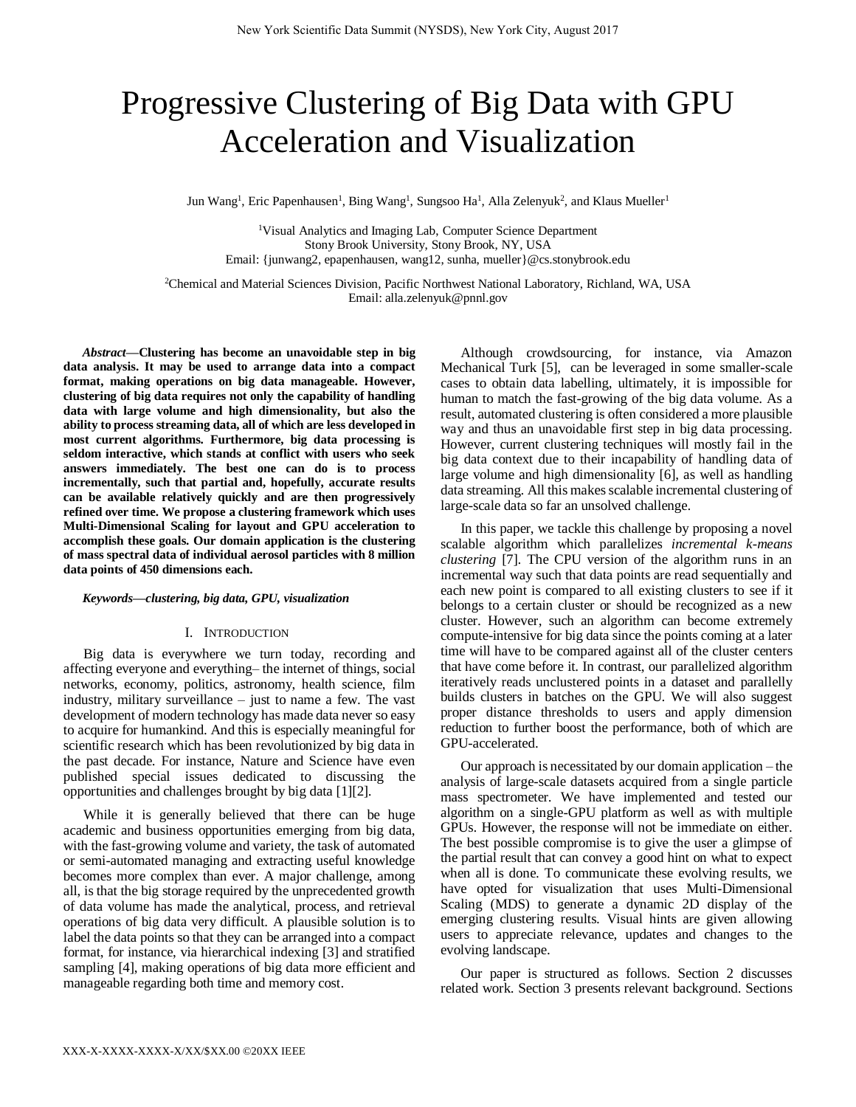# Progressive Clustering of Big Data with GPU Acceleration and Visualization

Jun Wang<sup>1</sup>, Eric Papenhausen<sup>1</sup>, Bing Wang<sup>1</sup>, Sungsoo Ha<sup>1</sup>, Alla Zelenyuk<sup>2</sup>, and Klaus Mueller<sup>1</sup>

<sup>1</sup>Visual Analytics and Imaging Lab, Computer Science Department Stony Brook University, Stony Brook, NY, USA Email: {junwang2, epapenhausen, wang12, sunha, mueller}@cs.stonybrook.edu

<sup>2</sup>Chemical and Material Sciences Division, Pacific Northwest National Laboratory, Richland, WA, USA Email: alla.zelenyuk@pnnl.gov

*Abstract***—Clustering has become an unavoidable step in big data analysis. It may be used to arrange data into a compact format, making operations on big data manageable. However, clustering of big data requires not only the capability of handling data with large volume and high dimensionality, but also the ability to process streaming data, all of which are less developed in most current algorithms. Furthermore, big data processing is seldom interactive, which stands at conflict with users who seek answers immediately. The best one can do is to process incrementally, such that partial and, hopefully, accurate results can be available relatively quickly and are then progressively refined over time. We propose a clustering framework which uses Multi-Dimensional Scaling for layout and GPU acceleration to accomplish these goals. Our domain application is the clustering of mass spectral data of individual aerosol particles with 8 million data points of 450 dimensions each.**

## *Keywords—clustering, big data, GPU, visualization*

## I. INTRODUCTION

Big data is everywhere we turn today, recording and affecting everyone and everything– the internet of things, social networks, economy, politics, astronomy, health science, film industry, military surveillance – just to name a few. The vast development of modern technology has made data never so easy to acquire for humankind. And this is especially meaningful for scientific research which has been revolutionized by big data in the past decade. For instance, Nature and Science have even published special issues dedicated to discussing the opportunities and challenges brought by big data [1][2].

While it is generally believed that there can be huge academic and business opportunities emerging from big data, with the fast-growing volume and variety, the task of automated or semi-automated managing and extracting useful knowledge becomes more complex than ever. A major challenge, among all, is that the big storage required by the unprecedented growth of data volume has made the analytical, process, and retrieval operations of big data very difficult. A plausible solution is to label the data points so that they can be arranged into a compact format, for instance, via hierarchical indexing [3] and stratified sampling [4], making operations of big data more efficient and manageable regarding both time and memory cost.

Although crowdsourcing, for instance, via Amazon Mechanical Turk [5], can be leveraged in some smaller-scale cases to obtain data labelling, ultimately, it is impossible for human to match the fast-growing of the big data volume. As a result, automated clustering is often considered a more plausible way and thus an unavoidable first step in big data processing. However, current clustering techniques will mostly fail in the big data context due to their incapability of handling data of large volume and high dimensionality [6], as well as handling data streaming. All this makes scalable incremental clustering of large-scale data so far an unsolved challenge.

In this paper, we tackle this challenge by proposing a novel scalable algorithm which parallelizes *incremental k-means clustering* [7]. The CPU version of the algorithm runs in an incremental way such that data points are read sequentially and each new point is compared to all existing clusters to see if it belongs to a certain cluster or should be recognized as a new cluster. However, such an algorithm can become extremely compute-intensive for big data since the points coming at a later time will have to be compared against all of the cluster centers that have come before it. In contrast, our parallelized algorithm iteratively reads unclustered points in a dataset and parallelly builds clusters in batches on the GPU. We will also suggest proper distance thresholds to users and apply dimension reduction to further boost the performance, both of which are GPU-accelerated.

Our approach is necessitated by our domain application – the analysis of large-scale datasets acquired from a single particle mass spectrometer. We have implemented and tested our algorithm on a single-GPU platform as well as with multiple GPUs. However, the response will not be immediate on either. The best possible compromise is to give the user a glimpse of the partial result that can convey a good hint on what to expect when all is done. To communicate these evolving results, we have opted for visualization that uses Multi-Dimensional Scaling (MDS) to generate a dynamic 2D display of the emerging clustering results. Visual hints are given allowing users to appreciate relevance, updates and changes to the evolving landscape.

Our paper is structured as follows. Section 2 discusses related work. Section 3 presents relevant background. Sections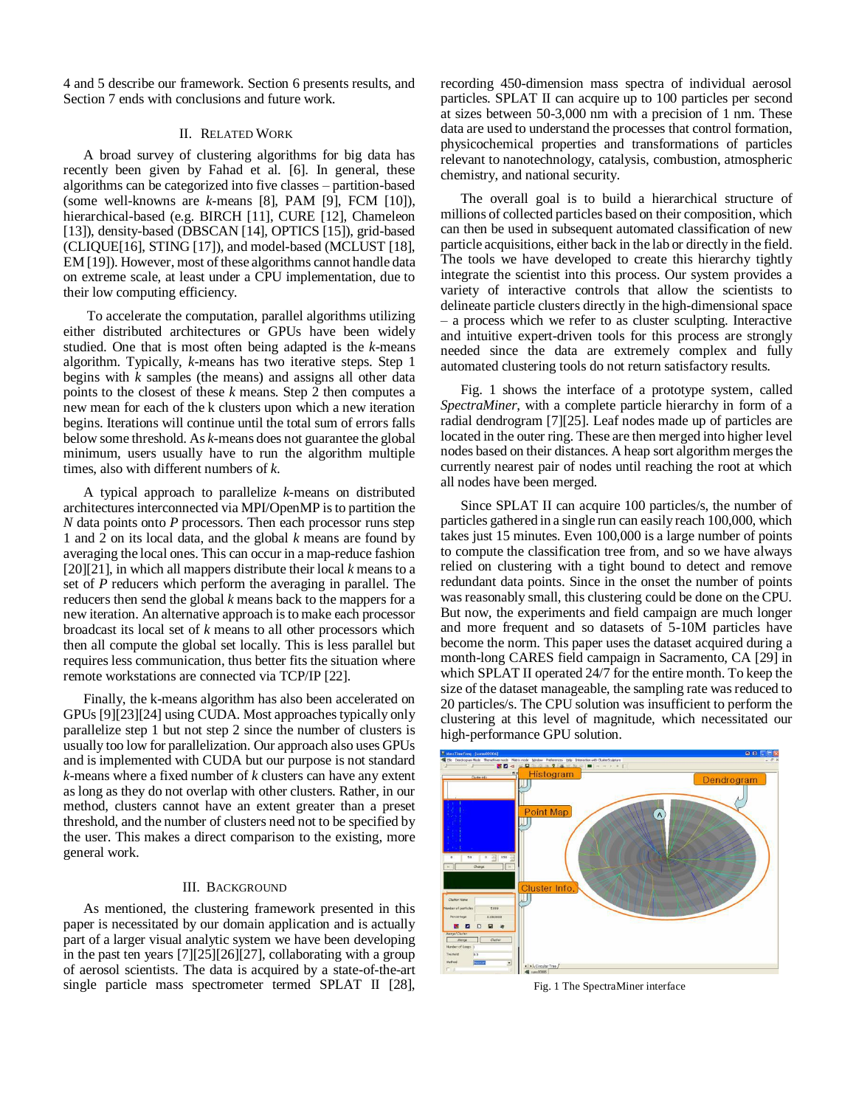4 and 5 describe our framework. Section 6 presents results, and Section 7 ends with conclusions and future work.

## **II. RELATED WORK**

A broad survey of clustering algorithms for big data has recently been given by Fahad et al. [6]. In general, these algorithms can be categorized into five classes - partition-based (some well-knowns are  $k$ -means [8], PAM [9], FCM [10]), hierarchical-based (e.g. BIRCH [11], CURE [12], Chameleon [13]), density-based (DBSCAN [14], OPTICS [15]), grid-based (CLIQUE[16], STING [17]), and model-based (MCLUST [18], EM [19]). However, most of these algorithms cannot handle data on extreme scale, at least under a CPU implementation, due to their low computing efficiency.

To accelerate the computation, parallel algorithms utilizing either distributed architectures or GPUs have been widely studied. One that is most often being adapted is the  $k$ -means algorithm. Typically, k-means has two iterative steps. Step 1 begins with  $k$  samples (the means) and assigns all other data points to the closest of these  $k$  means. Step  $\overline{2}$  then computes a new mean for each of the k clusters upon which a new iteration begins. Iterations will continue until the total sum of errors falls below some threshold. As k-means does not guarantee the global minimum, users usually have to run the algorithm multiple times, also with different numbers of  $k$ .

A typical approach to parallelize  $k$ -means on distributed architectures interconnected via MPI/OpenMP is to partition the  $N$  data points onto  $P$  processors. Then each processor runs step 1 and 2 on its local data, and the global  $k$  means are found by averaging the local ones. This can occur in a map-reduce fashion [20][21], in which all mappers distribute their local  $k$  means to a set of  $P$  reducers which perform the averaging in parallel. The reducers then send the global  $k$  means back to the mappers for a new iteration. An alternative approach is to make each processor broadcast its local set of  $k$  means to all other processors which then all compute the global set locally. This is less parallel but requires less communication, thus better fits the situation where remote workstations are connected via TCP/IP [22].

Finally, the k-means algorithm has also been accelerated on GPUs [9][23][24] using CUDA. Most approaches typically only parallelize step 1 but not step 2 since the number of clusters is usually too low for parallelization. Our approach also uses GPUs and is implemented with CUDA but our purpose is not standard  $k$ -means where a fixed number of  $k$  clusters can have any extent as long as they do not overlap with other clusters. Rather, in our method, clusters cannot have an extent greater than a preset threshold, and the number of clusters need not to be specified by the user. This makes a direct comparison to the existing, more general work.

## **III. BACKGROUND**

As mentioned, the clustering framework presented in this paper is necessitated by our domain application and is actually part of a larger visual analytic system we have been developing in the past ten years  $[7][25][26][27]$ , collaborating with a group of aerosol scientists. The data is acquired by a state-of-the-art single particle mass spectrometer termed SPLAT II [28],

recording 450-dimension mass spectra of individual aerosol particles. SPLAT II can acquire up to 100 particles per second at sizes between 50-3,000 nm with a precision of 1 nm. These data are used to understand the processes that control formation, physicochemical properties and transformations of particles relevant to nanotechnology, catalysis, combustion, atmospheric chemistry, and national security.

The overall goal is to build a hierarchical structure of millions of collected particles based on their composition, which can then be used in subsequent automated classification of new particle acquisitions, either back in the lab or directly in the field. The tools we have developed to create this hierarchy tightly integrate the scientist into this process. Our system provides a variety of interactive controls that allow the scientists to delineate particle clusters directly in the high-dimensional space - a process which we refer to as cluster sculpting. Interactive and intuitive expert-driven tools for this process are strongly needed since the data are extremely complex and fully automated clustering tools do not return satisfactory results.

Fig. 1 shows the interface of a prototype system, called SpectraMiner, with a complete particle hierarchy in form of a radial dendrogram [7][25]. Leaf nodes made up of particles are located in the outer ring. These are then merged into higher level nodes based on their distances. A heap sort algorithm merges the currently nearest pair of nodes until reaching the root at which all nodes have been merged.

Since SPLAT II can acquire 100 particles/s, the number of particles gathered in a single run can easily reach 100,000, which takes just 15 minutes. Even 100,000 is a large number of points to compute the classification tree from, and so we have always relied on clustering with a tight bound to detect and remove redundant data points. Since in the onset the number of points was reasonably small, this clustering could be done on the CPU. But now, the experiments and field campaign are much longer and more frequent and so datasets of 5-10M particles have become the norm. This paper uses the dataset acquired during a month-long CARES field campaign in Sacramento, CA [29] in which SPLAT II operated 24/7 for the entire month. To keep the size of the dataset manageable, the sampling rate was reduced to 20 particles/s. The CPU solution was insufficient to perform the clustering at this level of magnitude, which necessitated our high-performance GPU solution.



Fig. 1 The SpectraMiner interface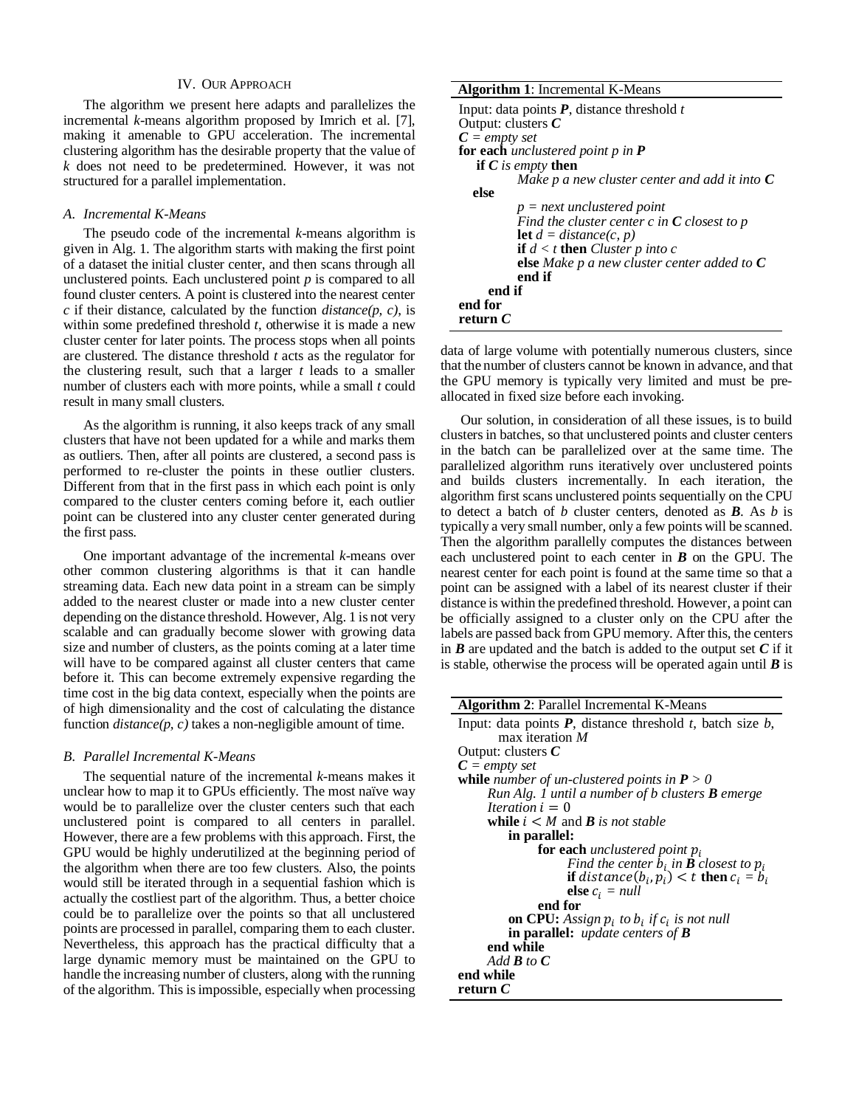## **IV. OUR APPROACH**

The algorithm we present here adapts and parallelizes the incremental  $k$ -means algorithm proposed by Imrich et al. [7], making it amenable to GPU acceleration. The incremental clustering algorithm has the desirable property that the value of  $k$  does not need to be predetermined. However, it was not structured for a parallel implementation.

## A. Incremental K-Means

The pseudo code of the incremental  $k$ -means algorithm is given in Alg. 1. The algorithm starts with making the first point of a dataset the initial cluster center, and then scans through all unclustered points. Each unclustered point  $p$  is compared to all found cluster centers. A point is clustered into the nearest center  $c$  if their distance, calculated by the function *distance*( $p$ ,  $c$ ), is within some predefined threshold  $t$ , otherwise it is made a new cluster center for later points. The process stops when all points are clustered. The distance threshold  $t$  acts as the regulator for the clustering result, such that a larger  $t$  leads to a smaller number of clusters each with more points, while a small t could result in many small clusters.

As the algorithm is running, it also keeps track of any small clusters that have not been updated for a while and marks them as outliers. Then, after all points are clustered, a second pass is performed to re-cluster the points in these outlier clusters. Different from that in the first pass in which each point is only compared to the cluster centers coming before it, each outlier point can be clustered into any cluster center generated during the first pass.

One important advantage of the incremental  $k$ -means over other common clustering algorithms is that it can handle streaming data. Each new data point in a stream can be simply added to the nearest cluster or made into a new cluster center depending on the distance threshold. However, Alg. 1 is not very scalable and can gradually become slower with growing data size and number of clusters, as the points coming at a later time will have to be compared against all cluster centers that came before it. This can become extremely expensive regarding the time cost in the big data context, especially when the points are of high dimensionality and the cost of calculating the distance function  $distance(p, c)$  takes a non-negligible amount of time.

#### **B.** Parallel Incremental K-Means

The sequential nature of the incremental  $k$ -means makes it unclear how to map it to GPUs efficiently. The most naïve way would be to parallelize over the cluster centers such that each unclustered point is compared to all centers in parallel. However, there are a few problems with this approach. First, the GPU would be highly underutilized at the beginning period of the algorithm when there are too few clusters. Also, the points would still be iterated through in a sequential fashion which is actually the costliest part of the algorithm. Thus, a better choice could be to parallelize over the points so that all unclustered points are processed in parallel, comparing them to each cluster. Nevertheless, this approach has the practical difficulty that a large dynamic memory must be maintained on the GPU to handle the increasing number of clusters, along with the running of the algorithm. This is impossible, especially when processing

## **Algorithm 1:** Incremental K-Means

| Input: data points $P$ , distance threshold $t$<br>Output: clusters $C$ |
|-------------------------------------------------------------------------|
|                                                                         |
| $C = \text{empty set}$                                                  |
| for each unclustered point $p$ in $P$                                   |
| <b>if</b> $C$ is empty <b>then</b>                                      |
| Make p a new cluster center and add it into $C$                         |
| else                                                                    |
| $p = next$ unclustered point                                            |
| Find the cluster center c in $C$ closest to $p$                         |
| <b>let</b> $d = distance(c, p)$                                         |
| <b>if</b> $d < t$ <b>then</b> Cluster p into c                          |
| <b>else</b> Make p a new cluster center added to $C$                    |
| end if                                                                  |
| end if                                                                  |
| end for                                                                 |
| return $C$                                                              |

data of large volume with potentially numerous clusters, since that the number of clusters cannot be known in advance, and that the GPU memory is typically very limited and must be preallocated in fixed size before each invoking.

Our solution, in consideration of all these issues, is to build clusters in batches, so that unclustered points and cluster centers in the batch can be parallelized over at the same time. The parallelized algorithm runs iteratively over unclustered points and builds clusters incrementally. In each iteration, the algorithm first scans unclustered points sequentially on the CPU to detect a batch of  $b$  cluster centers, denoted as  $\bm{B}$ . As  $b$  is typically a very small number, only a few points will be scanned. Then the algorithm parallelly computes the distances between each unclustered point to each center in  $\bf{B}$  on the GPU. The nearest center for each point is found at the same time so that a point can be assigned with a label of its nearest cluster if their distance is within the predefined threshold. However, a point can be officially assigned to a cluster only on the CPU after the labels are passed back from GPU memory. After this, the centers in  $\bm{B}$  are updated and the batch is added to the output set  $\bm{C}$  if it is stable, otherwise the process will be operated again until  $\bm{B}$  is

| <b>Algorithm 2: Parallel Incremental K-Means</b>                          |
|---------------------------------------------------------------------------|
| Input: data points $P$ , distance threshold $t$ , batch size $b$ ,        |
| max iteration $M$                                                         |
| Output: clusters $C$                                                      |
| $C = \text{empty set}$                                                    |
| <b>while</b> number of un-clustered points in $P > 0$                     |
| Run Alg. 1 until a number of b clusters <b>B</b> emerge                   |
| <i>Iteration</i> $i = 0$                                                  |
| <b>while</b> $i \leq M$ and <b>B</b> is not stable                        |
| in parallel:                                                              |
| <b>for each</b> unclustered point $p_i$                                   |
| Find the center $b_i$ in <b>B</b> closest to $p_i$                        |
| <b>if</b> distance(b <sub>i</sub> , p <sub>i</sub> ) < t then $c_i = b_i$ |
| else $c_i$ = null                                                         |
| end for                                                                   |
| <b>on CPU:</b> Assign $p_i$ to $b_i$ if $c_i$ is not null                 |
| in parallel: <i>update centers of</i> $\boldsymbol{B}$                    |
| end while                                                                 |
| Add <b>B</b> to <b>C</b>                                                  |
| end while                                                                 |
| return $C$                                                                |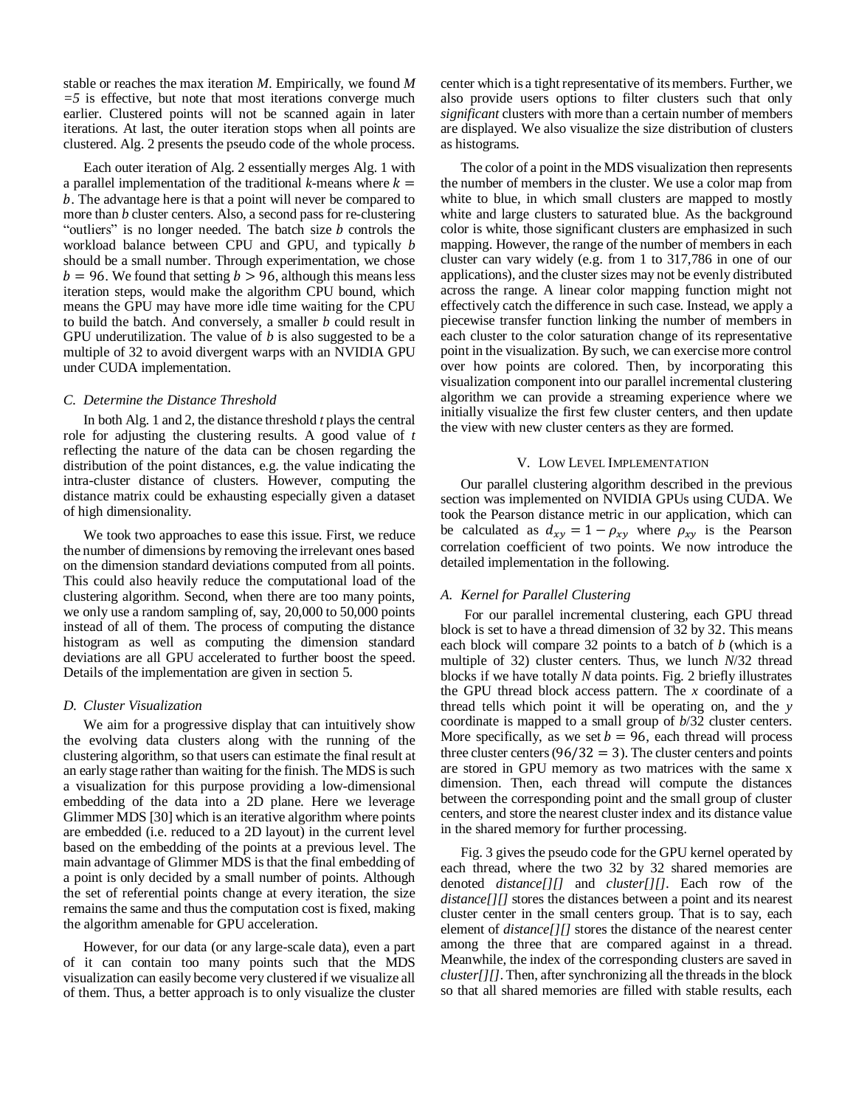stable or reaches the max iteration  $M$ . Empirically, we found  $M$  $=$  5 is effective, but note that most iterations converge much earlier. Clustered points will not be scanned again in later iterations. At last, the outer iteration stops when all points are clustered. Alg. 2 presents the pseudo code of the whole process.

Each outer iteration of Alg. 2 essentially merges Alg. 1 with a parallel implementation of the traditional k-means where  $k =$ b. The advantage here is that a point will never be compared to more than *b* cluster centers. Also, a second pass for re-clustering "outliers" is no longer needed. The batch size *b* controls the workload balance between CPU and GPU, and typically b should be a small number. Through experimentation, we chose  $b = 96$ . We found that setting  $b > 96$ , although this means less iteration steps, would make the algorithm CPU bound, which means the GPU may have more idle time waiting for the CPU to build the batch. And conversely, a smaller  $b$  could result in GPU underutilization. The value of  $b$  is also suggested to be a multiple of 32 to avoid divergent warps with an NVIDIA GPU under CUDA implementation.

## C. Determine the Distance Threshold

In both Alg. 1 and 2, the distance threshold  $t$  plays the central role for adjusting the clustering results. A good value of  $t$ reflecting the nature of the data can be chosen regarding the distribution of the point distances, e.g. the value indicating the intra-cluster distance of clusters. However, computing the distance matrix could be exhausting especially given a dataset of high dimensionality.

We took two approaches to ease this issue. First, we reduce the number of dimensions by removing the irrelevant ones based on the dimension standard deviations computed from all points. This could also heavily reduce the computational load of the clustering algorithm. Second, when there are too many points, we only use a random sampling of, say, 20,000 to 50,000 points instead of all of them. The process of computing the distance histogram as well as computing the dimension standard deviations are all GPU accelerated to further boost the speed. Details of the implementation are given in section 5.

#### D. Cluster Visualization

We aim for a progressive display that can intuitively show the evolving data clusters along with the running of the clustering algorithm, so that users can estimate the final result at an early stage rather than waiting for the finish. The MDS is such a visualization for this purpose providing a low-dimensional embedding of the data into a 2D plane. Here we leverage Glimmer MDS [30] which is an iterative algorithm where points are embedded (i.e. reduced to a 2D layout) in the current level based on the embedding of the points at a previous level. The main advantage of Glimmer MDS is that the final embedding of a point is only decided by a small number of points. Although the set of referential points change at every iteration, the size remains the same and thus the computation cost is fixed, making the algorithm amenable for GPU acceleration.

However, for our data (or any large-scale data), even a part of it can contain too many points such that the MDS visualization can easily become very clustered if we visualize all of them. Thus, a better approach is to only visualize the cluster center which is a tight representative of its members. Further, we also provide users options to filter clusters such that only significant clusters with more than a certain number of members are displayed. We also visualize the size distribution of clusters as histograms.

The color of a point in the MDS visualization then represents the number of members in the cluster. We use a color map from white to blue, in which small clusters are mapped to mostly white and large clusters to saturated blue. As the background color is white, those significant clusters are emphasized in such mapping. However, the range of the number of members in each cluster can vary widely (e.g. from 1 to 317,786 in one of our applications), and the cluster sizes may not be evenly distributed across the range. A linear color mapping function might not effectively catch the difference in such case. Instead, we apply a piecewise transfer function linking the number of members in each cluster to the color saturation change of its representative point in the visualization. By such, we can exercise more control over how points are colored. Then, by incorporating this visualization component into our parallel incremental clustering algorithm we can provide a streaming experience where we initially visualize the first few cluster centers, and then update the view with new cluster centers as they are formed.

#### V. LOW LEVEL IMPLEMENTATION

Our parallel clustering algorithm described in the previous section was implemented on NVIDIA GPUs using CUDA. We took the Pearson distance metric in our application, which can be calculated as  $d_{xy} = 1 - \rho_{xy}$  where  $\rho_{xy}$  is the Pearson correlation coefficient of two points. We now introduce the detailed implementation in the following.

#### A. Kernel for Parallel Clustering

For our parallel incremental clustering, each GPU thread block is set to have a thread dimension of 32 by 32. This means each block will compare 32 points to a batch of  $b$  (which is a multiple of 32) cluster centers. Thus, we lunch  $N/32$  thread blocks if we have totally  $N$  data points. Fig. 2 briefly illustrates the GPU thread block access pattern. The  $x$  coordinate of a thread tells which point it will be operating on, and the y coordinate is mapped to a small group of  $b/32$  cluster centers. More specifically, as we set  $b = 96$ , each thread will process three cluster centers ( $96/32 = 3$ ). The cluster centers and points are stored in GPU memory as two matrices with the same x dimension. Then, each thread will compute the distances between the corresponding point and the small group of cluster centers, and store the nearest cluster index and its distance value in the shared memory for further processing.

Fig. 3 gives the pseudo code for the GPU kernel operated by each thread, where the two 32 by 32 shared memories are denoted *distance[][]* and *cluster[][]*. Each row of the *distance*[*]*[*]* stores the distances between a point and its nearest cluster center in the small centers group. That is to say, each element of *distance* [*II*] stores the distance of the nearest center among the three that are compared against in a thread. Meanwhile, the index of the corresponding clusters are saved in cluster[][]. Then, after synchronizing all the threads in the block so that all shared memories are filled with stable results, each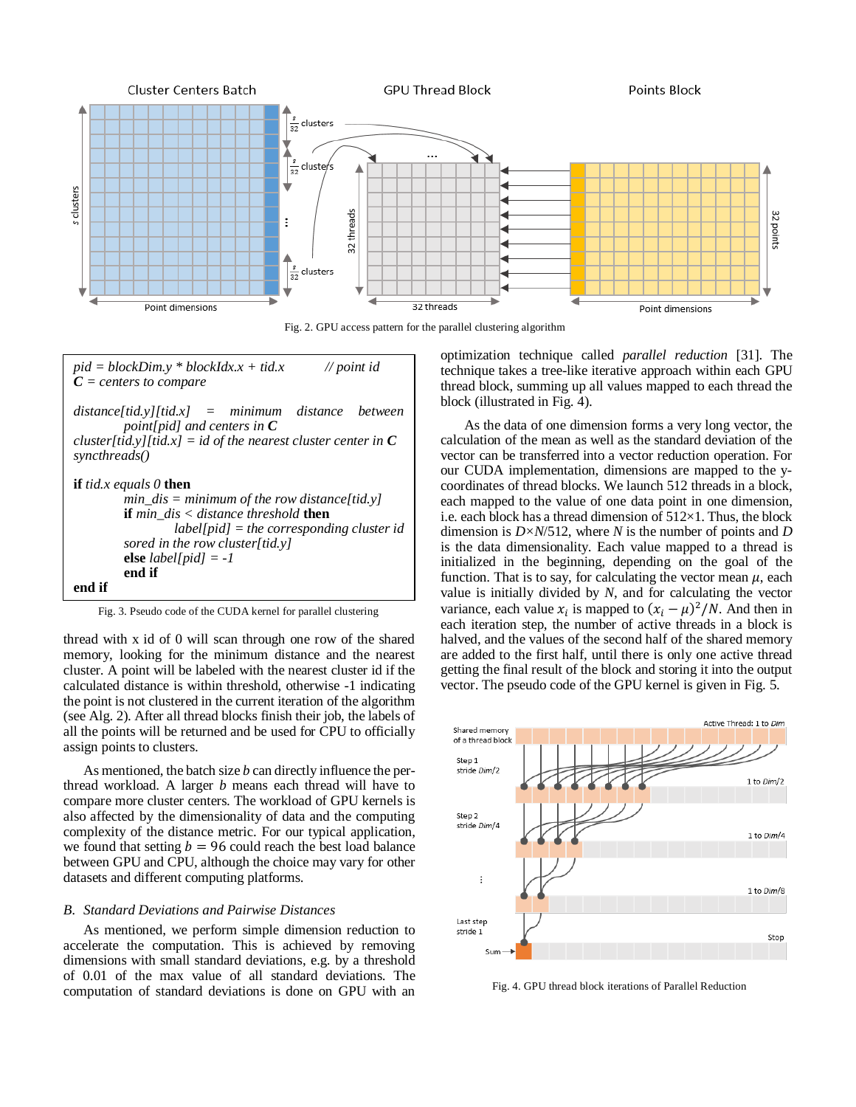

Fig. 2. GPU access pattern for the parallel clustering algorithm

 $pid = blockDim.y * blockIdx.x + tid.x$  $\mathcal{N}$  point id  $C = centers\ to\ compare$ 

 $distance [tid.y][tid.x] = minimum$ distance between point [pid] and centers in  $C$ cluster[tid.y][tid.x] = id of the nearest cluster center in  $C$ syncthreads() if  $tid.x$  equals  $0$  then  $min\_dis = minimum of the row distance [tid.y]$ if  $min\_dis < distance$  threshold then  $label[pid] = the corresponding cluster id$ sored in the row cluster[tid.y] else  $label[pid] = -1$ end if end if

Fig. 3. Pseudo code of the CUDA kernel for parallel clustering

thread with x id of 0 will scan through one row of the shared memory, looking for the minimum distance and the nearest cluster. A point will be labeled with the nearest cluster id if the calculated distance is within threshold, otherwise -1 indicating the point is not clustered in the current iteration of the algorithm (see Alg. 2). After all thread blocks finish their job, the labels of all the points will be returned and be used for CPU to officially assign points to clusters.

As mentioned, the batch size  $b$  can directly influence the perthread workload. A larger  $b$  means each thread will have to compare more cluster centers. The workload of GPU kernels is also affected by the dimensionality of data and the computing complexity of the distance metric. For our typical application, we found that setting  $b = 96$  could reach the best load balance between GPU and CPU, although the choice may vary for other datasets and different computing platforms.

#### **B.** Standard Deviations and Pairwise Distances

As mentioned, we perform simple dimension reduction to accelerate the computation. This is achieved by removing dimensions with small standard deviations, e.g. by a threshold of 0.01 of the max value of all standard deviations. The computation of standard deviations is done on GPU with an

optimization technique called *parallel reduction* [31]. The technique takes a tree-like iterative approach within each GPU thread block, summing up all values mapped to each thread the block (illustrated in Fig. 4).

As the data of one dimension forms a very long vector, the calculation of the mean as well as the standard deviation of the vector can be transferred into a vector reduction operation. For our CUDA implementation, dimensions are mapped to the ycoordinates of thread blocks. We launch 512 threads in a block, each mapped to the value of one data point in one dimension, i.e. each block has a thread dimension of  $512\times1$ . Thus, the block dimension is  $D \times N/512$ , where N is the number of points and D is the data dimensionality. Each value mapped to a thread is initialized in the beginning, depending on the goal of the function. That is to say, for calculating the vector mean  $\mu$ , each value is initially divided by  $N$ , and for calculating the vector variance, each value  $x_i$  is mapped to  $(x_i - \mu)^2/N$ . And then in each iteration step, the number of active threads in a block is halved, and the values of the second half of the shared memory are added to the first half, until there is only one active thread getting the final result of the block and storing it into the output vector. The pseudo code of the GPU kernel is given in Fig. 5.



Fig. 4. GPU thread block iterations of Parallel Reduction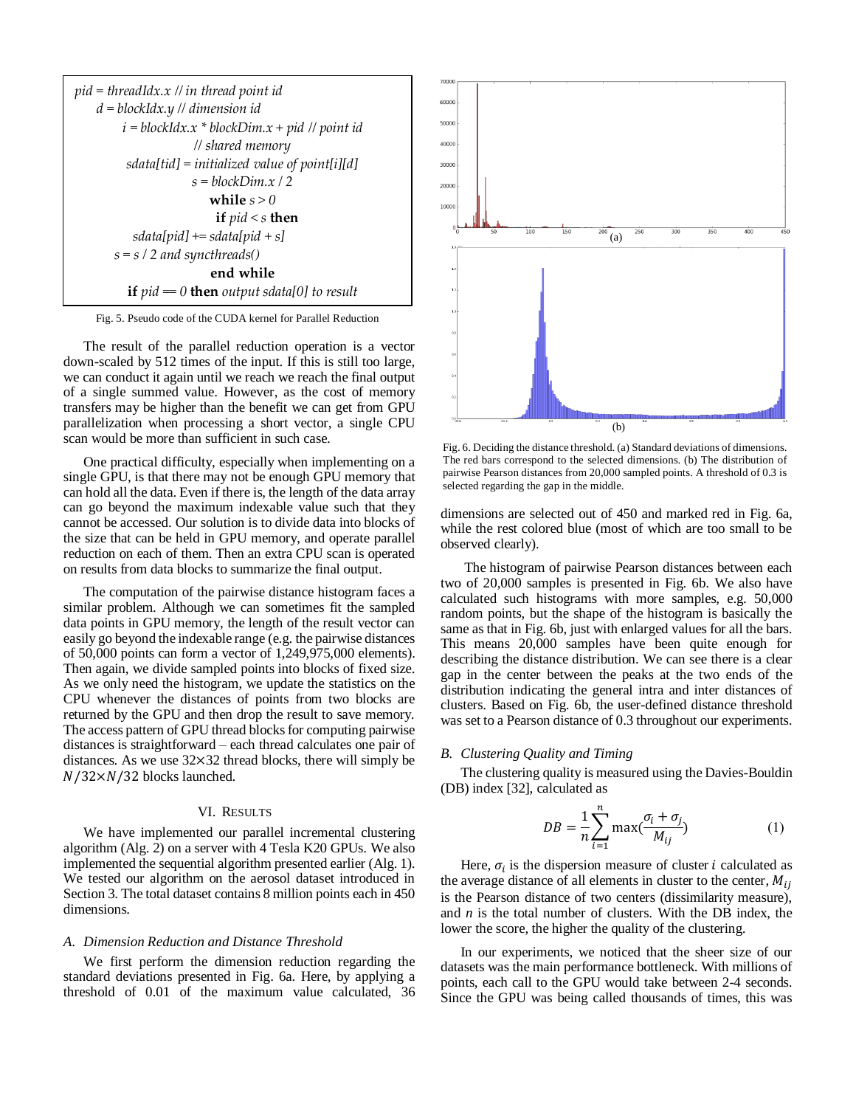

Fig. 5. Pseudo code of the CUDA kernel for Parallel Reduction

The result of the parallel reduction operation is a vector down-scaled by 512 times of the input. If this is still too large, we can conduct it again until we reach we reach the final output of a single summed value. However, as the cost of memory transfers may be higher than the benefit we can get from GPU parallelization when processing a short vector, a single CPU scan would be more than sufficient in such case.

One practical difficulty, especially when implementing on a single GPU, is that there may not be enough GPU memory that can hold all the data. Even if there is, the length of the data array can go beyond the maximum indexable value such that they cannot be accessed. Our solution is to divide data into blocks of the size that can be held in GPU memory, and operate parallel reduction on each of them. Then an extra CPU scan is operated on results from data blocks to summarize the final output.

The computation of the pairwise distance histogram faces a similar problem. Although we can sometimes fit the sampled data points in GPU memory, the length of the result vector can easily go beyond the indexable range (e.g. the pairwise distances of 50,000 points can form a vector of 1,249,975,000 elements). Then again, we divide sampled points into blocks of fixed size. As we only need the histogram, we update the statistics on the CPU whenever the distances of points from two blocks are returned by the GPU and then drop the result to save memory. The access pattern of GPU thread blocks for computing pairwise distances is straightforward – each thread calculates one pair of distances. As we use  $32\times32$  thread blocks, there will simply be  $N/32 \times N/32$  blocks launched.

#### VI. RESULTS

We have implemented our parallel incremental clustering algorithm (Alg. 2) on a server with 4 Tesla K20 GPUs. We also implemented the sequential algorithm presented earlier (Alg. 1). We tested our algorithm on the aerosol dataset introduced in Section 3. The total dataset contains 8 million points each in 450 dimensions.

## A. Dimension Reduction and Distance Threshold

We first perform the dimension reduction regarding the standard deviations presented in Fig. 6a. Here, by applying a threshold of 0.01 of the maximum value calculated, 36



Fig. 6. Deciding the distance threshold. (a) Standard deviations of dimensions. The red bars correspond to the selected dimensions. (b) The distribution of pairwise Pearson distances from 20,000 sampled points. A threshold of 0.3 is selected regarding the gap in the middle.

dimensions are selected out of 450 and marked red in Fig. 6a, while the rest colored blue (most of which are too small to be observed clearly).

The histogram of pairwise Pearson distances between each two of 20,000 samples is presented in Fig. 6b. We also have calculated such histograms with more samples, e.g. 50,000 random points, but the shape of the histogram is basically the same as that in Fig. 6b, just with enlarged values for all the bars. This means 20,000 samples have been quite enough for describing the distance distribution. We can see there is a clear gap in the center between the peaks at the two ends of the distribution indicating the general intra and inter distances of clusters. Based on Fig. 6b, the user-defined distance threshold was set to a Pearson distance of 0.3 throughout our experiments.

# B. Clustering Quality and Timing

The clustering quality is measured using the Davies-Bouldin (DB) index [32], calculated as

$$
DB = \frac{1}{n} \sum_{i=1}^{n} \max(\frac{\sigma_i + \sigma_j}{M_{ij}})
$$
 (1)

Here,  $\sigma_i$  is the dispersion measure of cluster *i* calculated as the average distance of all elements in cluster to the center,  $M_{ij}$ is the Pearson distance of two centers (dissimilarity measure), and  $n$  is the total number of clusters. With the DB index, the lower the score, the higher the quality of the clustering.

In our experiments, we noticed that the sheer size of our datasets was the main performance bottleneck. With millions of points, each call to the GPU would take between 2-4 seconds. Since the GPU was being called thousands of times, this was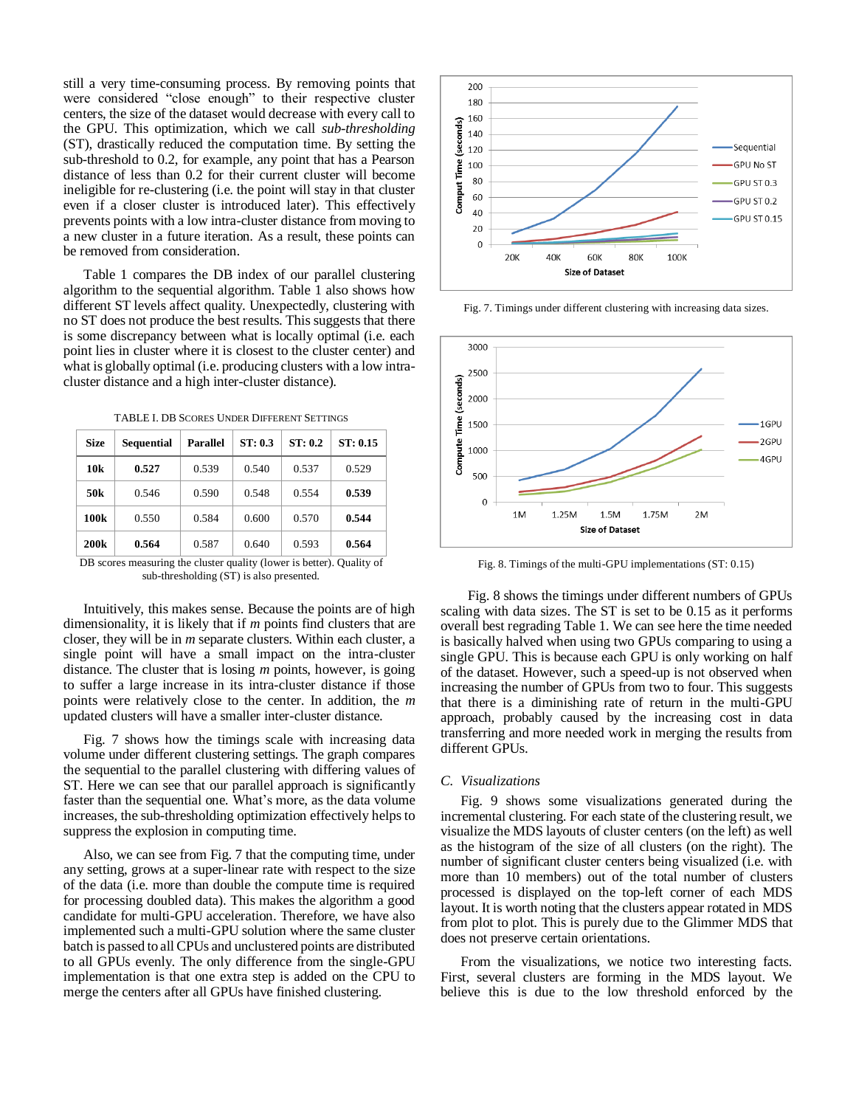still a very time-consuming process. By removing points that were considered "close enough" to their respective cluster centers, the size of the dataset would decrease with every call to the GPU. This optimization, which we call *sub-thresholding* (ST), drastically reduced the computation time. By setting the sub-threshold to 0.2, for example, any point that has a Pearson distance of less than 0.2 for their current cluster will become ineligible for re-clustering (i.e. the point will stay in that cluster even if a closer cluster is introduced later). This effectively prevents points with a low intra-cluster distance from moving to a new cluster in a future iteration. As a result, these points can be removed from consideration.

Table 1 compares the DB index of our parallel clustering algorithm to the sequential algorithm. Table 1 also shows how different ST levels affect quality. Unexpectedly, clustering with no ST does not produce the best results. This suggests that there is some discrepancy between what is locally optimal (i.e. each point lies in cluster where it is closest to the cluster center) and what is globally optimal (i.e. producing clusters with a low intracluster distance and a high inter-cluster distance).

TABLE I. DB SCORES UNDER DIFFERENT SETTINGS

| <b>Size</b>      | <b>Sequential</b> | Parallel | ST: 0.3 | ST: 0.2 | ST: 0.15 |
|------------------|-------------------|----------|---------|---------|----------|
| 10k              | 0.527             | 0.539    | 0.540   | 0.537   | 0.529    |
| 50 <sub>k</sub>  | 0.546             | 0.590    | 0.548   | 0.554   | 0.539    |
| 100 <sub>k</sub> | 0.550             | 0.584    | 0.600   | 0.570   | 0.544    |
| 200k             | 0.564             | 0.587    | 0.640   | 0.593   | 0.564    |

DB scores measuring the cluster quality (lower is better). Quality of sub-thresholding (ST) is also presented.

Intuitively, this makes sense. Because the points are of high dimensionality, it is likely that if  $m$  points find clusters that are closer, they will be in  $m$  separate clusters. Within each cluster, a single point will have a small impact on the intra-cluster distance. The cluster that is losing  $m$  points, however, is going to suffer a large increase in its intra-cluster distance if those points were relatively close to the center. In addition, the  $m$ updated clusters will have a smaller inter-cluster distance.

Fig. 7 shows how the timings scale with increasing data volume under different clustering settings. The graph compares the sequential to the parallel clustering with differing values of ST. Here we can see that our parallel approach is significantly faster than the sequential one. What's more, as the data volume increases, the sub-thresholding optimization effectively helps to suppress the explosion in computing time.

Also, we can see from Fig. 7 that the computing time, under any setting, grows at a super-linear rate with respect to the size of the data (i.e. more than double the compute time is required for processing doubled data). This makes the algorithm a good candidate for multi-GPU acceleration. Therefore, we have also implemented such a multi-GPU solution where the same cluster batch is passed to all CPUs and unclustered points are distributed to all GPUs evenly. The only difference from the single-GPU implementation is that one extra step is added on the CPU to merge the centers after all GPUs have finished clustering.



Fig. 7. Timings under different clustering with increasing data sizes.



Fig. 8. Timings of the multi-GPU implementations  $(ST: 0.15)$ 

Fig. 8 shows the timings under different numbers of GPUs scaling with data sizes. The ST is set to be 0.15 as it performs overall best regrading Table 1. We can see here the time needed is basically halved when using two GPUs comparing to using a single GPU. This is because each GPU is only working on half of the dataset. However, such a speed-up is not observed when increasing the number of GPUs from two to four. This suggests that there is a diminishing rate of return in the multi-GPU approach, probably caused by the increasing cost in data transferring and more needed work in merging the results from different GPUs.

# C. Visualizations

Fig. 9 shows some visualizations generated during the incremental clustering. For each state of the clustering result, we visualize the MDS layouts of cluster centers (on the left) as well as the histogram of the size of all clusters (on the right). The number of significant cluster centers being visualized (i.e. with more than 10 members) out of the total number of clusters processed is displayed on the top-left corner of each MDS layout. It is worth noting that the clusters appear rotated in MDS from plot to plot. This is purely due to the Glimmer MDS that does not preserve certain orientations.

From the visualizations, we notice two interesting facts. First, several clusters are forming in the MDS layout. We believe this is due to the low threshold enforced by the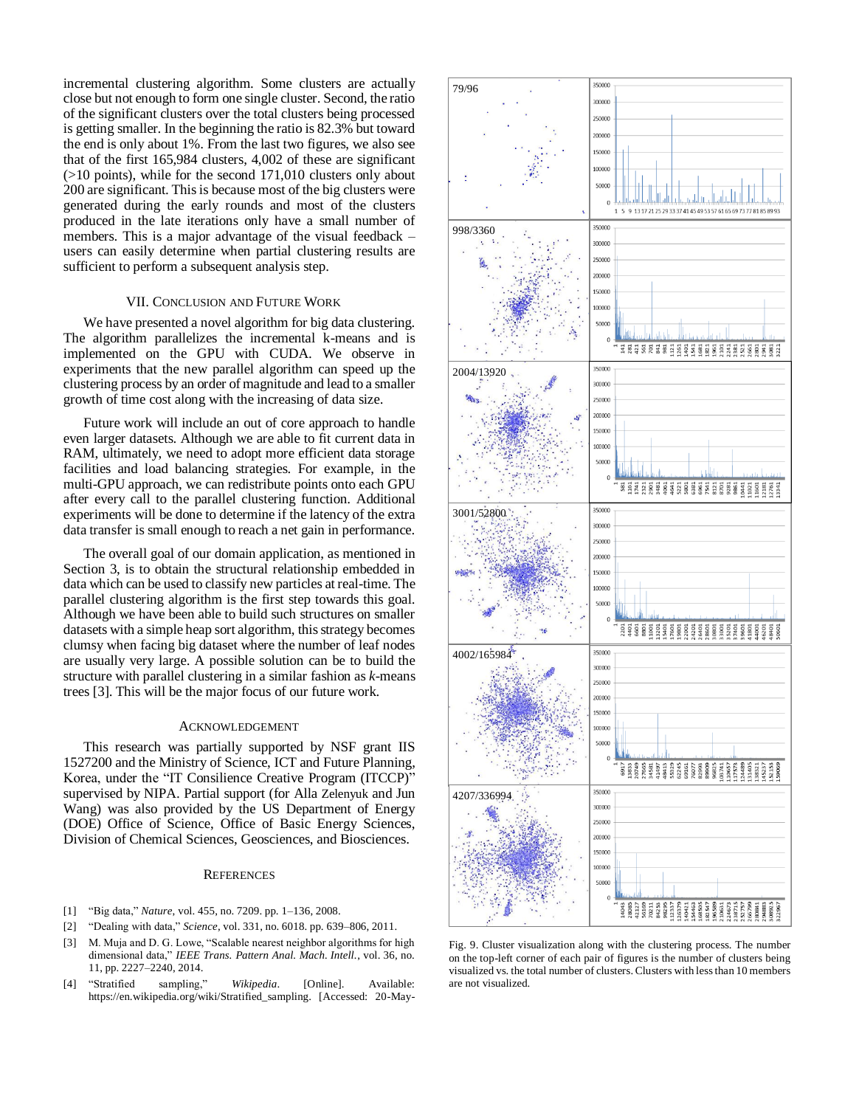incremental clustering algorithm. Some clusters are actually close but not enough to form one single cluster. Second, the ratio of the significant clusters over the total clusters being processed is getting smaller. In the beginning the ratio is 82.3% but toward the end is only about 1%. From the last two figures, we also see that of the first 165,984 clusters, 4,002 of these are significant  $($ >10 points), while for the second 171,010 clusters only about 200 are significant. This is because most of the big clusters were generated during the early rounds and most of the clusters produced in the late iterations only have a small number of members. This is a major advantage of the visual feedback – users can easily determine when partial clustering results are sufficient to perform a subsequent analysis step.

## VII. CONCLUSION AND FUTURE WORK

We have presented a novel algorithm for big data clustering. The algorithm parallelizes the incremental k-means and is implemented on the GPU with CUDA. We observe in experiments that the new parallel algorithm can speed up the clustering process by an order of magnitude and lead to a smaller growth of time cost along with the increasing of data size.

Future work will include an out of core approach to handle even larger datasets. Although we are able to fit current data in RAM, ultimately, we need to adopt more efficient data storage facilities and load balancing strategies. For example, in the multi-GPU approach, we can redistribute points onto each GPU after every call to the parallel clustering function. Additional experiments will be done to determine if the latency of the extra data transfer is small enough to reach a net gain in performance.

The overall goal of our domain application, as mentioned in Section 3, is to obtain the structural relationship embedded in data which can be used to classify new particles at real-time. The parallel clustering algorithm is the first step towards this goal. Although we have been able to build such structures on smaller datasets with a simple heap sort algorithm, this strategy becomes clumsy when facing big dataset where the number of leaf nodes are usually very large. A possible solution can be to build the structure with parallel clustering in a similar fashion as  $k$ -means trees [3]. This will be the major focus of our future work.

#### **ACKNOWLEDGEMENT**

This research was partially supported by NSF grant IIS 1527200 and the Ministry of Science, ICT and Future Planning, Korea, under the "IT Consilience Creative Program (ITCCP)" supervised by NIPA. Partial support (for Alla Zelenyuk and Jun Wang) was also provided by the US Department of Energy (DOE) Office of Science, Office of Basic Energy Sciences, Division of Chemical Sciences, Geosciences, and Biosciences.

## **REFERENCES**

- [1] "Big data," Nature, vol. 455, no. 7209. pp. 1-136, 2008.
- [2] "Dealing with data," Science, vol. 331, no. 6018. pp. 639-806, 2011.
- M. Muja and D. G. Lowe, "Scalable nearest neighbor algorithms for high  $[3]$ dimensional data," IEEE Trans. Pattern Anal. Mach. Intell., vol. 36, no. 11, pp. 2227-2240, 2014.
- "Stratified sampling," Wikipedia. [Online]. Available:  $[4]$ https://en.wikipedia.org/wiki/Stratified\_sampling. [Accessed: 20-May-



Fig. 9. Cluster visualization along with the clustering process. The number on the top-left corner of each pair of figures is the number of clusters being visualized vs. the total number of clusters. Clusters with less than 10 members are not visualized.